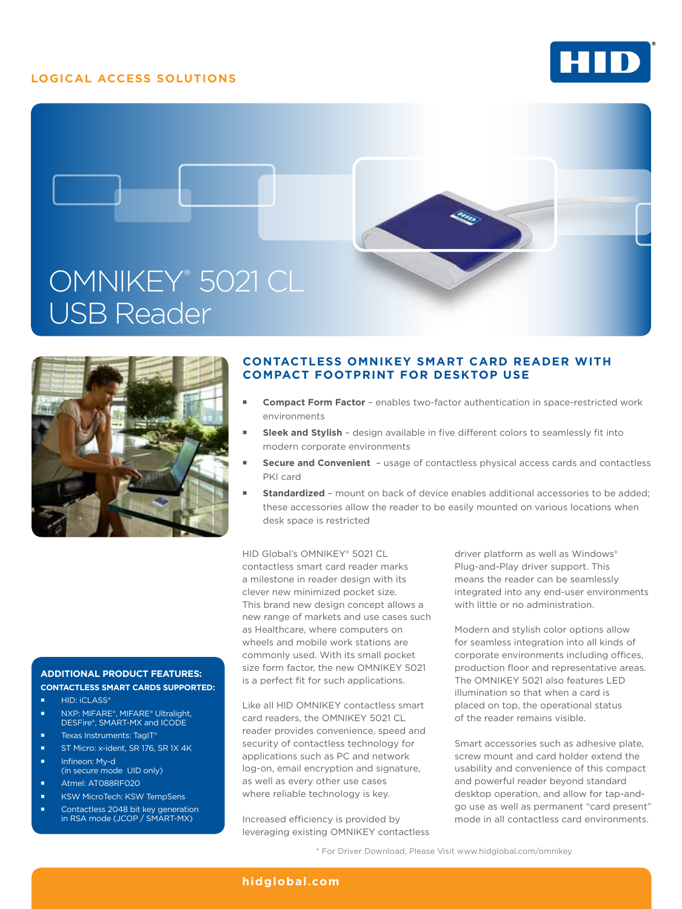## **LOGICAL ACCESS SOLUTIONS**







## **Contactless OMNIKEY Smart Card reader With compact footprint for desktop use**

- **Compact Form Factor**  enables two-factor authentication in space-restricted work environments
- **Sleek and Stylish**  design available in five different colors to seamlessly fit into modern corporate environments
- **Secure and Convenient**  usage of contactless physical access cards and contactless PKI card
- **Standardized**  mount on back of device enables additional accessories to be added; these accessories allow the reader to be easily mounted on various locations when desk space is restricted

HID Global's OMNIKEY® 5021 CL contactless smart card reader marks a milestone in reader design with its clever new minimized pocket size. This brand new design concept allows a new range of markets and use cases such as Healthcare, where computers on wheels and mobile work stations are commonly used. With its small pocket size form factor, the new OMNIKEY 5021 is a perfect fit for such applications.

Like all HID OMNIKEY contactless smart card readers, the OMNIKEY 5021 CL reader provides convenience, speed and security of contactless technology for applications such as PC and network log-on, email encryption and signature, as well as every other use cases where reliable technology is key.

Increased efficiency is provided by leveraging existing OMNIKEY contactless

driver platform as well as Windows® Plug-and-Play driver support. This means the reader can be seamlessly integrated into any end-user environments with little or no administration.

Modern and stylish color options allow for seamless integration into all kinds of corporate environments including offices, production floor and representative areas. The OMNIKEY 5021 also features LED illumination so that when a card is placed on top, the operational status of the reader remains visible.

Smart accessories such as adhesive plate, screw mount and card holder extend the usability and convenience of this compact and powerful reader beyond standard desktop operation, and allow for tap-andgo use as well as permanent "card present" mode in all contactless card environments.

#### NXP: MIFARE®, MIFARE® Ultralight, DESFire®, SMART-MX and ICODE Texas Instruments: TagIT®

ST Micro: x-ident, SR 176, SR 1X 4K

**ADDITIONAL PRODUCT FEATURES: Contactless Smart Cards supported:**

- Infineon: My-d (in secure mode UID only)
- **Atmel: AT088RF020**

HID: **iCLASS®** 

- KSW MicroTech: KSW TempSens
- Contactless 2048 bit key generation in RSA mode (JCOP / SMART-MX)

\* For Driver Download, Please Visit www.hidglobal.com/omnikey